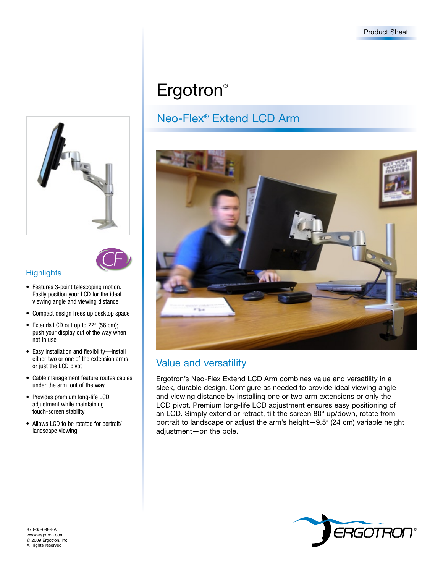



## **Highlights**

- Features 3-point telescoping motion. Easily position your LCD for the ideal viewing angle and viewing distance
- • Compact design frees up desktop space
- Extends LCD out up to 22" (56 cm); push your display out of the way when not in use
- • Easy installation and flexibility—install either two or one of the extension arms or just the LCD pivot
- Cable management feature routes cables under the arm, out of the way
- Provides premium long-life LCD adjustment while maintaining touch-screen stability
- • Allows LCD to be rotated for portrait/ landscape viewing

## Ergotron<sup>®</sup>

## Neo-Flex® Extend LCD Arm



## Value and versatility

Ergotron's Neo-Flex Extend LCD Arm combines value and versatility in a sleek, durable design. Configure as needed to provide ideal viewing angle and viewing distance by installing one or two arm extensions or only the LCD pivot. Premium long-life LCD adjustment ensures easy positioning of an LCD. Simply extend or retract, tilt the screen 80° up/down, rotate from portrait to landscape or adjust the arm's height-9.5" (24 cm) variable height adjustment—on the pole.